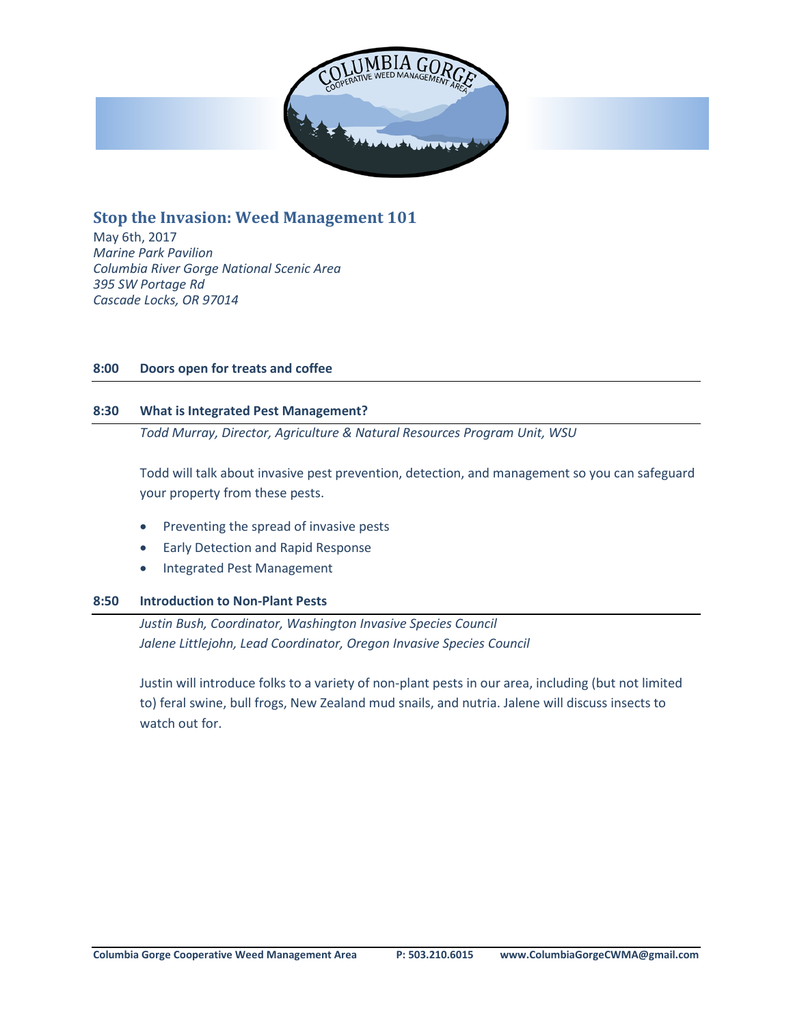

**Stop the Invasion: Weed Management 101**

May 6th, 2017 *Marine Park Pavilion Columbia River Gorge National Scenic Area 395 SW Portage Rd Cascade Locks, OR 97014*

# **8:00 Doors open for treats and coffee**

## **8:30 What is Integrated Pest Management?**

*Todd Murray, Director, Agriculture & Natural Resources Program Unit, WSU*

Todd will talk about invasive pest prevention, detection, and management so you can safeguard your property from these pests.

- Preventing the spread of invasive pests
- Early Detection and Rapid Response
- Integrated Pest Management

## **8:50 Introduction to Non-Plant Pests**

*Justin Bush, Coordinator, Washington Invasive Species Council Jalene Littlejohn, Lead Coordinator, Oregon Invasive Species Council*

Justin will introduce folks to a variety of non-plant pests in our area, including (but not limited to) feral swine, bull frogs, New Zealand mud snails, and nutria. Jalene will discuss insects to watch out for.